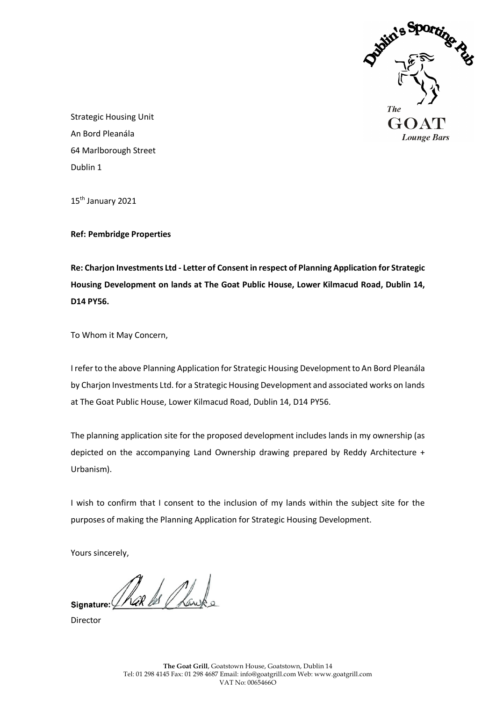

Strategic Housing Unit An Bord Pleanála 64 Marlborough Street Dublin 1

15<sup>th</sup> January 2021

**Ref: Pembridge Properties**

**Re: Charjon Investments Ltd - Letter of Consent in respect of Planning Application for Strategic Housing Development on lands at The Goat Public House, Lower Kilmacud Road, Dublin 14, D14 PY56.**

To Whom it May Concern,

I refer to the above Planning Application for Strategic Housing Development to An Bord Pleanála by Charjon Investments Ltd. for a Strategic Housing Development and associated works on lands at The Goat Public House, Lower Kilmacud Road, Dublin 14, D14 PY56.

The planning application site for the proposed development includes lands in my ownership (as depicted on the accompanying Land Ownership drawing prepared by Reddy Architecture + Urbanism).

I wish to confirm that I consent to the inclusion of my lands within the subject site for the purposes of making the Planning Application for Strategic Housing Development.

Yours sincerely,

signature: That is Thanks

Director